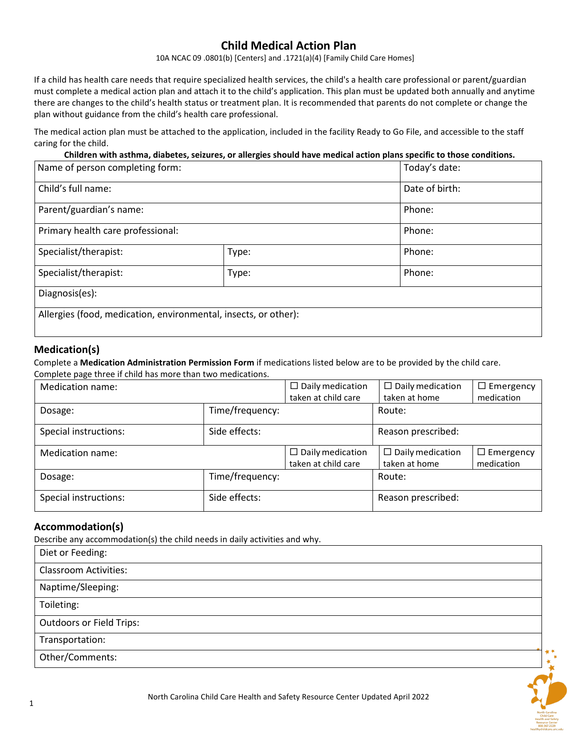# **Child Medical Action Plan**

10A NCAC 09 .0801(b) [Centers] and .1721(a)(4) [Family Child Care Homes]

If a child has health care needs that require specialized health services, the child's a health care professional or parent/guardian must complete a medical action plan and attach it to the child's application. This plan must be updated both annually and anytime there are changes to the child's health status or treatment plan. It is recommended that parents do not complete or change the plan without guidance from the child's health care professional.

The medical action plan must be attached to the application, included in the facility Ready to Go File, and accessible to the staff caring for the child.

**Children with asthma, diabetes, seizures, or allergies should have medical action plans specific to those conditions.**

| Name of person completing form:                                 |       | Today's date:  |  |
|-----------------------------------------------------------------|-------|----------------|--|
| Child's full name:                                              |       | Date of birth: |  |
| Parent/guardian's name:                                         |       | Phone:         |  |
| Primary health care professional:                               |       | Phone:         |  |
| Specialist/therapist:                                           | Type: | Phone:         |  |
| Specialist/therapist:                                           | Type: | Phone:         |  |
| Diagnosis(es):                                                  |       |                |  |
| Allergies (food, medication, environmental, insects, or other): |       |                |  |

#### **Medication(s)**

Complete a **Medication Administration Permission Form** if medications listed below are to be provided by the child care.

Complete page three if child has more than two medications.

| Medication name:      |                 | $\Box$ Daily medication<br>taken at child care | $\Box$ Daily medication<br>taken at home | $\Box$ Emergency<br>medication |
|-----------------------|-----------------|------------------------------------------------|------------------------------------------|--------------------------------|
| Dosage:               | Time/frequency: |                                                | Route:                                   |                                |
| Special instructions: | Side effects:   |                                                | Reason prescribed:                       |                                |
| Medication name:      |                 | $\Box$ Daily medication<br>taken at child care | $\Box$ Daily medication<br>taken at home | $\Box$ Emergency<br>medication |
| Dosage:               | Time/frequency: |                                                | Route:                                   |                                |
| Special instructions: | Side effects:   |                                                | Reason prescribed:                       |                                |

#### **Accommodation(s)**

Describe any accommodation(s) the child needs in daily activities and why.

| Diet or Feeding:                |  |
|---------------------------------|--|
| <b>Classroom Activities:</b>    |  |
| Naptime/Sleeping:               |  |
| Toileting:                      |  |
| <b>Outdoors or Field Trips:</b> |  |
| Transportation:                 |  |
| Other/Comments:                 |  |
|                                 |  |

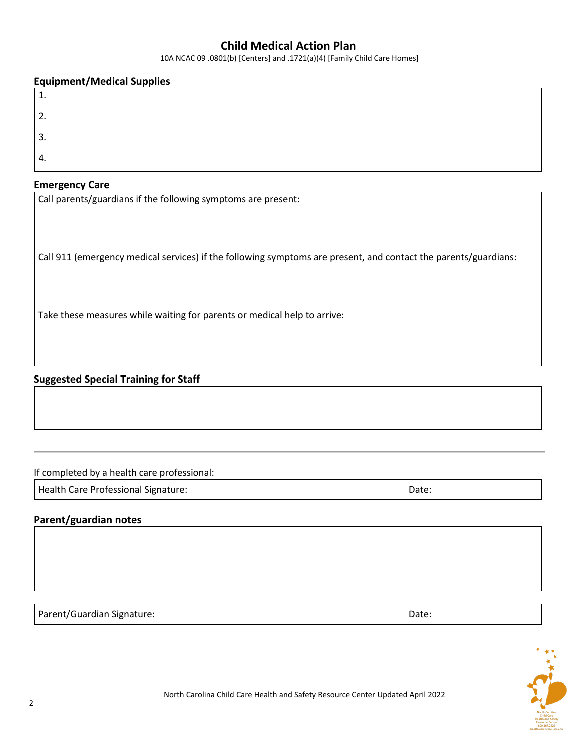## **Child Medical Action Plan**

10A NCAC 09 .0801(b) [Centers] and .1721(a)(4) [Family Child Care Homes]

#### **Equipment/Medical Supplies**

| <u>.</u> |  |
|----------|--|
| ∍<br>.ر  |  |
| ᠇.       |  |

#### **Emergency Care**

Call parents/guardians if the following symptoms are present:

Call 911 (emergency medical services) if the following symptoms are present, and contact the parents/guardians:

Take these measures while waiting for parents or medical help to arrive:

### **Suggested Special Training for Staff**

If completed by a health care professional:

Health Care Professional Signature:  $\vert$  Date:  $\vert$  Date:

## **Parent/guardian notes**

Parent/Guardian Signature: Date: Date: Date: Date: Date: Date: Date: Date: Date: Date: Date: Date: Date: Date: Date: Date: Date: Date: Date: Date: Date: Date: Date: Date: Date: Date: Date: Date: Date: Date: Date: Date: Dat